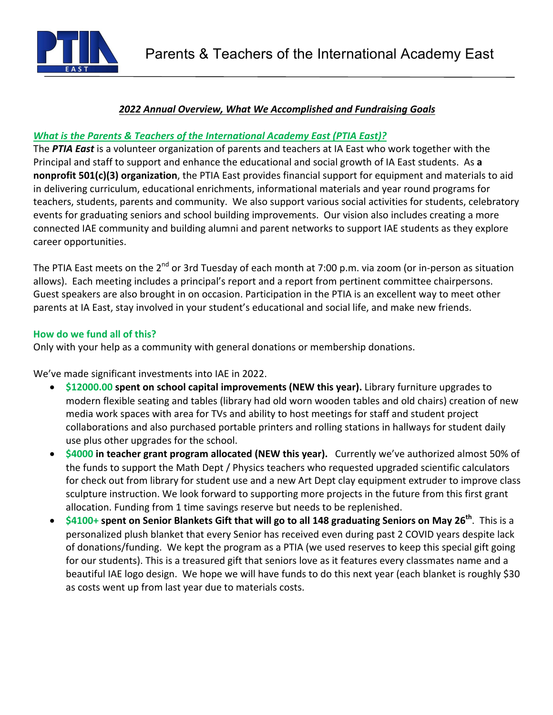

# *2022 Annual Overview, What We Accomplished and Fundraising Goals*

### *What is the Parents & Teachers of the International Academy East (PTIA East)?*

The PTIA East is a volunteer organization of parents and teachers at IA East who work together with the Principal and staff to support and enhance the educational and social growth of IA East students. As a **nonprofit 501(c)(3) organization**, the PTIA East provides financial support for equipment and materials to aid in delivering curriculum, educational enrichments, informational materials and year round programs for teachers, students, parents and community. We also support various social activities for students, celebratory events for graduating seniors and school building improvements. Our vision also includes creating a more connected IAE community and building alumni and parent networks to support IAE students as they explore career opportunities.

The PTIA East meets on the 2<sup>nd</sup> or 3rd Tuesday of each month at 7:00 p.m. via zoom (or in-person as situation allows). Each meeting includes a principal's report and a report from pertinent committee chairpersons. Guest speakers are also brought in on occasion. Participation in the PTIA is an excellent way to meet other parents at IA East, stay involved in your student's educational and social life, and make new friends.

#### **How do we fund all of this?**

Only with your help as a community with general donations or membership donations.

We've made significant investments into IAE in 2022.

- \$12000.00 spent on school capital improvements (NEW this year). Library furniture upgrades to modern flexible seating and tables (library had old worn wooden tables and old chairs) creation of new media work spaces with area for TVs and ability to host meetings for staff and student project collaborations and also purchased portable printers and rolling stations in hallways for student daily use plus other upgrades for the school.
- \$4000 in teacher grant program allocated (NEW this year). Currently we've authorized almost 50% of the funds to support the Math Dept / Physics teachers who requested upgraded scientific calculators for check out from library for student use and a new Art Dept clay equipment extruder to improve class sculpture instruction. We look forward to supporting more projects in the future from this first grant allocation. Funding from 1 time savings reserve but needs to be replenished.
- \$4100+ spent on Senior Blankets Gift that will go to all 148 graduating Seniors on May 26<sup>th</sup>. This is a personalized plush blanket that every Senior has received even during past 2 COVID years despite lack of donations/funding. We kept the program as a PTIA (we used reserves to keep this special gift going for our students). This is a treasured gift that seniors love as it features every classmates name and a beautiful IAE logo design. We hope we will have funds to do this next year (each blanket is roughly \$30 as costs went up from last year due to materials costs.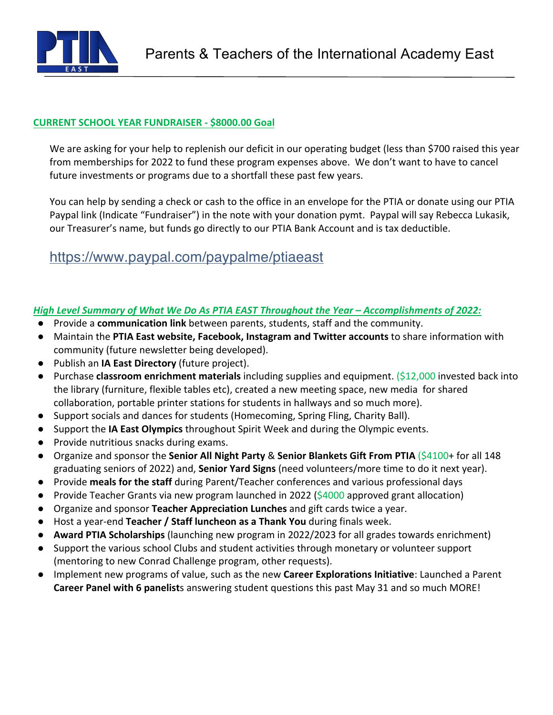

## **CURRENT SCHOOL YEAR FUNDRAISER - \$8000.00 Goal**

We are asking for your help to replenish our deficit in our operating budget (less than \$700 raised this year from memberships for 2022 to fund these program expenses above. We don't want to have to cancel future investments or programs due to a shortfall these past few years.

You can help by sending a check or cash to the office in an envelope for the PTIA or donate using our PTIA Paypal link (Indicate "Fundraiser") in the note with your donation pymt. Paypal will say Rebecca Lukasik, our Treasurer's name, but funds go directly to our PTIA Bank Account and is tax deductible.

# https://www.paypal.com/paypalme/ptiaeast

## High Level Summary of What We Do As PTIA EAST Throughout the Year – Accomplishments of 2022:

- **•** Provide a **communication link** between parents, students, staff and the community.
- Maintain the PTIA East website, Facebook, Instagram and Twitter accounts to share information with community (future newsletter being developed).
- Publish an **IA East Directory** (future project).
- Purchase **classroom enrichment materials** including supplies and equipment. (\$12,000 invested back into the library (furniture, flexible tables etc), created a new meeting space, new media for shared collaboration, portable printer stations for students in hallways and so much more).
- Support socials and dances for students (Homecoming, Spring Fling, Charity Ball).
- **•** Support the **IA East Olympics** throughout Spirit Week and during the Olympic events.
- Provide nutritious snacks during exams.
- Organize and sponsor the **Senior All Night Party** & **Senior Blankets Gift From PTIA** (\$4100+ for all 148 graduating seniors of 2022) and, **Senior Yard Signs** (need volunteers/more time to do it next year).
- **•** Provide meals for the staff during Parent/Teacher conferences and various professional days
- Provide Teacher Grants via new program launched in 2022 (\$4000 approved grant allocation)
- **•** Organize and sponsor **Teacher Appreciation Lunches** and gift cards twice a year.
- Host a year-end **Teacher / Staff luncheon as a Thank You** during finals week.
- **Award PTIA Scholarships** (launching new program in 2022/2023 for all grades towards enrichment)
- Support the various school Clubs and student activities through monetary or volunteer support (mentoring to new Conrad Challenge program, other requests).
- Implement new programs of value, such as the new **Career Explorations Initiative**: Launched a Parent **Career Panel with 6 panelist**s answering student questions this past May 31 and so much MORE!